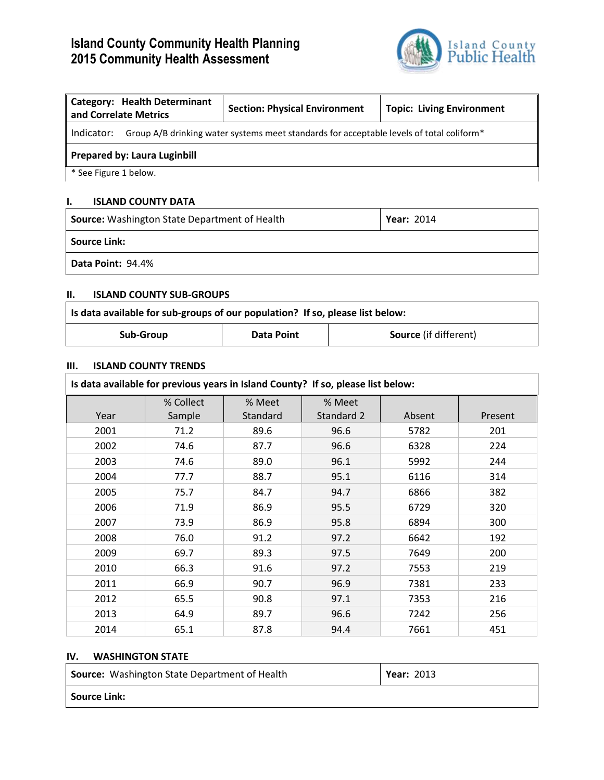# **Island County Community Health Planning 2015 Community Health Assessment**



| <b>Category: Health Determinant</b><br>and Correlate Metrics                                           | <b>Section: Physical Environment</b> | <b>Topic: Living Environment</b> |  |  |
|--------------------------------------------------------------------------------------------------------|--------------------------------------|----------------------------------|--|--|
| Indicator:<br>Group A/B drinking water systems meet standards for acceptable levels of total coliform* |                                      |                                  |  |  |
| <b>Prepared by: Laura Luginbill</b>                                                                    |                                      |                                  |  |  |
| * See Figure 1 below.                                                                                  |                                      |                                  |  |  |

## **I. ISLAND COUNTY DATA**

| <b>Source:</b> Washington State Department of Health | <b>Year: 2014</b> |
|------------------------------------------------------|-------------------|
| <b>Source Link:</b>                                  |                   |
| <b>Data Point: 94.4%</b>                             |                   |

#### **II. ISLAND COUNTY SUB-GROUPS**

| Is data available for sub-groups of our population? If so, please list below: |            |                              |
|-------------------------------------------------------------------------------|------------|------------------------------|
| Sub-Group                                                                     | Data Point | <b>Source</b> (if different) |

### **III. ISLAND COUNTY TRENDS**

| Is data available for previous years in Island County? If so, please list below: |           |          |            |        |         |
|----------------------------------------------------------------------------------|-----------|----------|------------|--------|---------|
|                                                                                  | % Collect | % Meet   | % Meet     |        |         |
| Year                                                                             | Sample    | Standard | Standard 2 | Absent | Present |
| 2001                                                                             | 71.2      | 89.6     | 96.6       | 5782   | 201     |
| 2002                                                                             | 74.6      | 87.7     | 96.6       | 6328   | 224     |
| 2003                                                                             | 74.6      | 89.0     | 96.1       | 5992   | 244     |
| 2004                                                                             | 77.7      | 88.7     | 95.1       | 6116   | 314     |
| 2005                                                                             | 75.7      | 84.7     | 94.7       | 6866   | 382     |
| 2006                                                                             | 71.9      | 86.9     | 95.5       | 6729   | 320     |
| 2007                                                                             | 73.9      | 86.9     | 95.8       | 6894   | 300     |
| 2008                                                                             | 76.0      | 91.2     | 97.2       | 6642   | 192     |
| 2009                                                                             | 69.7      | 89.3     | 97.5       | 7649   | 200     |
| 2010                                                                             | 66.3      | 91.6     | 97.2       | 7553   | 219     |
| 2011                                                                             | 66.9      | 90.7     | 96.9       | 7381   | 233     |
| 2012                                                                             | 65.5      | 90.8     | 97.1       | 7353   | 216     |
| 2013                                                                             | 64.9      | 89.7     | 96.6       | 7242   | 256     |
| 2014                                                                             | 65.1      | 87.8     | 94.4       | 7661   | 451     |

### **IV. WASHINGTON STATE**

| Source: Washington State Department of Health | <b>Year: 2013</b> |
|-----------------------------------------------|-------------------|
| <b>Source Link:</b>                           |                   |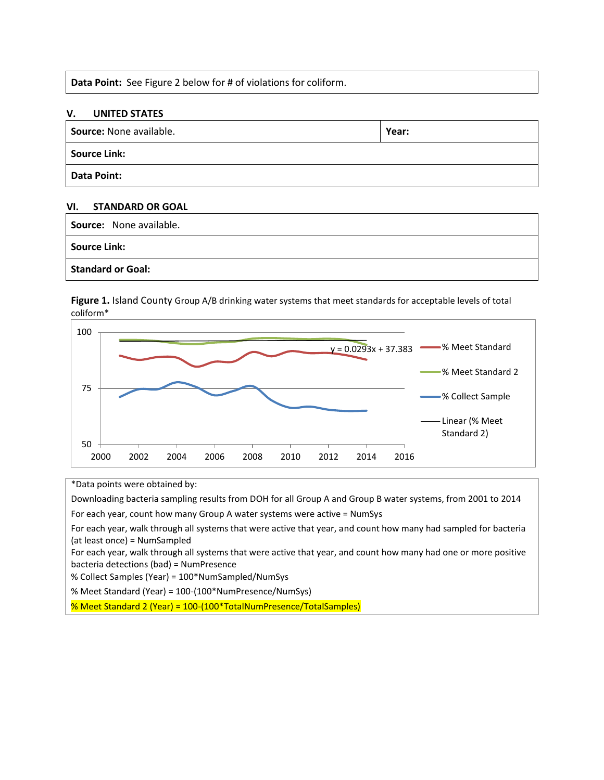**Data Point:** See Figure 2 below for # of violations for coliform.

#### **V. UNITED STATES**

| <b>Source:</b> None available. | Year: |
|--------------------------------|-------|
| <b>Source Link:</b>            |       |
| <b>Data Point:</b>             |       |

#### **VI. STANDARD OR GOAL**

| Source: None available.  |  |
|--------------------------|--|
| <b>Source Link:</b>      |  |
| <b>Standard or Goal:</b> |  |

**Figure 1.** Island County Group A/B drinking water systems that meet standards for acceptable levels of total coliform\*



\*Data points were obtained by:

Downloading bacteria sampling results from DOH for all Group A and Group B water systems, from 2001 to 2014

For each year, count how many Group A water systems were active = NumSys

For each year, walk through all systems that were active that year, and count how many had sampled for bacteria (at least once) = NumSampled

For each year, walk through all systems that were active that year, and count how many had one or more positive bacteria detections (bad) = NumPresence

% Collect Samples (Year) = 100\*NumSampled/NumSys

% Meet Standard (Year) = 100-(100\*NumPresence/NumSys)

% Meet Standard 2 (Year) = 100-(100\*TotalNumPresence/TotalSamples)